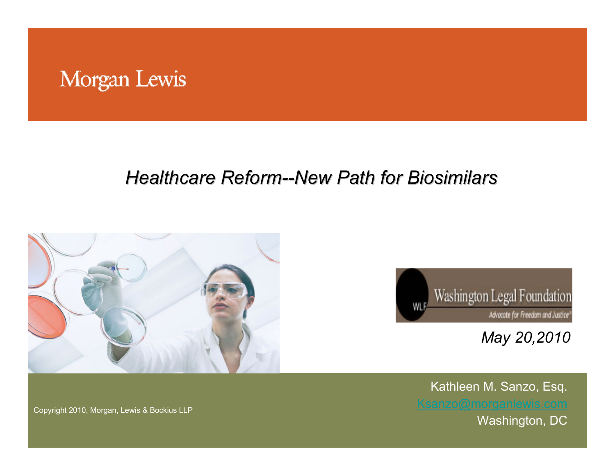#### Morgan Lewis

#### *Healthcare Reform Healthcare Reform--New Path for New Path for Biosimilars Biosimilars*





*May 20,2010*

Kathleen M. Sanzo, Esq. Washington, DC

Copyright 2010, Morgan, Lewis & Bockius LLP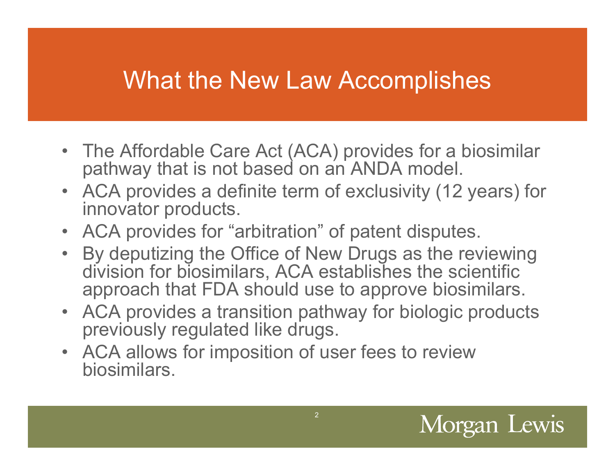## What the New Law Accomplishes

- The Affordable Care Act (ACA) provides for a biosimilar pathway that is not based on an ANDA model.
- ACA provides a definite term of exclusivity (12 years) for innovator products.
- ACA provides for "arbitration" of patent disputes.
- By deputizing the Office of New Drugs as the reviewing division for biosimilars, ACA establishes the scientific approach that FDA should use to approve biosimilars.
- ACA provides a transition pathway for biologic products previously regulated like drugs.
- ACA allows for imposition of user fees to review biosimilars.

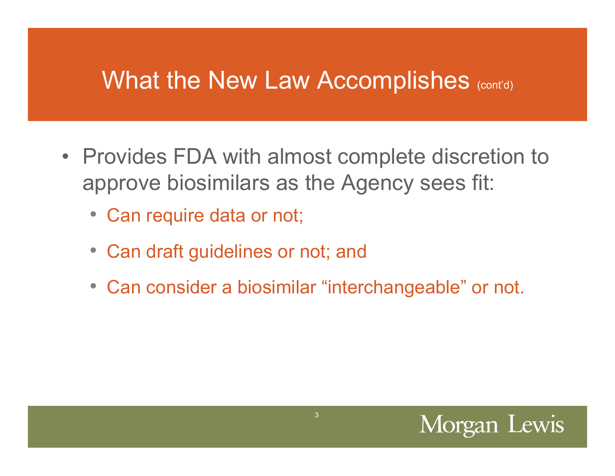#### What the New Law Accomplishes (cont'd)

- Provides FDA with almost complete discretion to approve biosimilars as the Agency sees fit:
	- Can require data or not;
	- Can draft guidelines or not; and
	- Can consider a biosimilar "interchangeable" or not.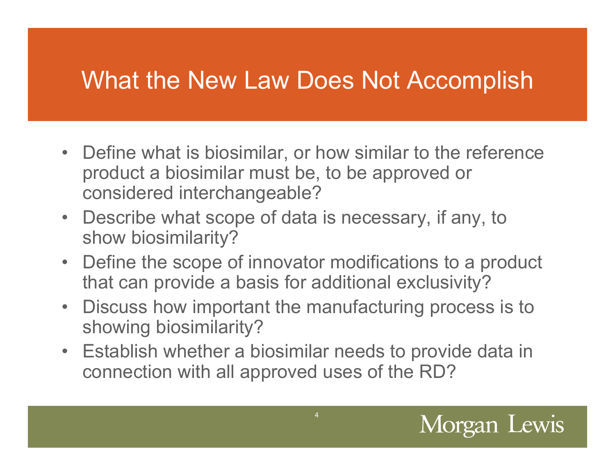## What the New Law Does Not Accomplish

- Define what is biosimilar, or how similar to the reference product a biosimilar must be, to be approved or considered interchangeable?
- Describe what scope of data is necessary, if any, to show biosimilarity?
- Define the scope of innovator modifications to a product that can provide a basis for additional exclusivity?
- Discuss how important the manufacturing process is to showing biosimilarity?
- Establish whether a biosimilar needs to provide data in connection with all approved uses of the RD?

4

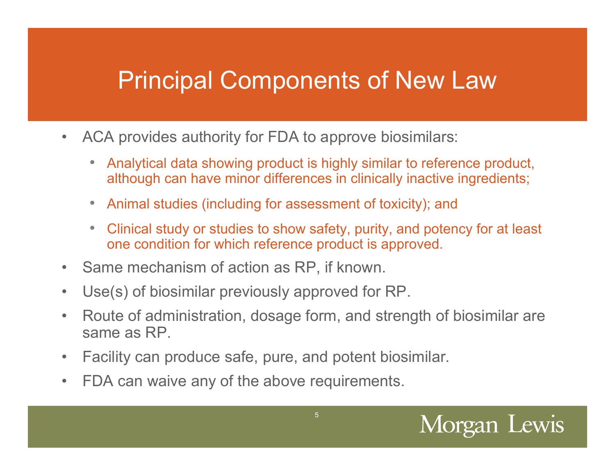- $\bullet$  ACA provides authority for FDA to approve biosimilars:
	- Analytical data showing product is highly similar to reference product, although can have minor differences in clinically inactive ingredients;
	- •Animal studies (including for assessment of toxicity); and
	- • Clinical study or studies to show safety, purity, and potency for at least one condition for which reference product is approved.
- $\bullet$ Same mechanism of action as RP, if known.
- $\bullet$ Use(s) of biosimilar previously approved for RP.
- $\bullet$  Route of administration, dosage form, and strength of biosimilar are same as RP.
- $\bullet$ Facility can produce safe, pure, and potent biosimilar.
- $\bullet$ FDA can waive any of the above requirements.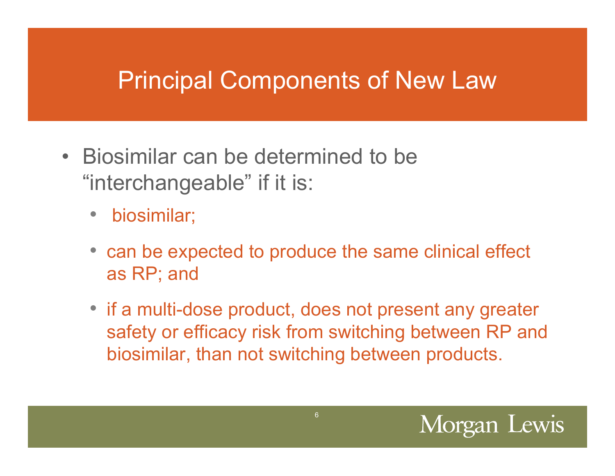- Biosimilar can be determined to be "interchangeable" if it is:
	- •biosimilar;
	- can be expected to produce the same clinical effect as RP; and
	- if a multi-dose product, does not present any greater safety or efficacy risk from switching between RP and biosimilar, than not switching between products.

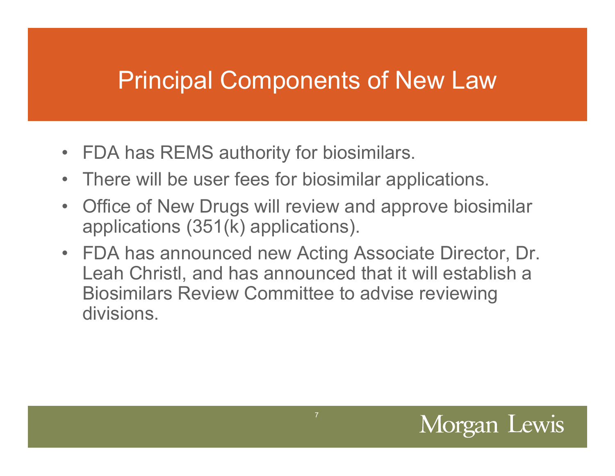- $\bullet$ FDA has REMS authority for biosimilars.
- $\bullet$ There will be user fees for biosimilar applications.
- $\bullet$  Office of New Drugs will review and approve biosimilar applications (351(k) applications).
- FDA has announced new Acting Associate Director, Dr. Leah Christl, and has announced that it will establish a Biosimilars Review Committee to advise reviewing divisions.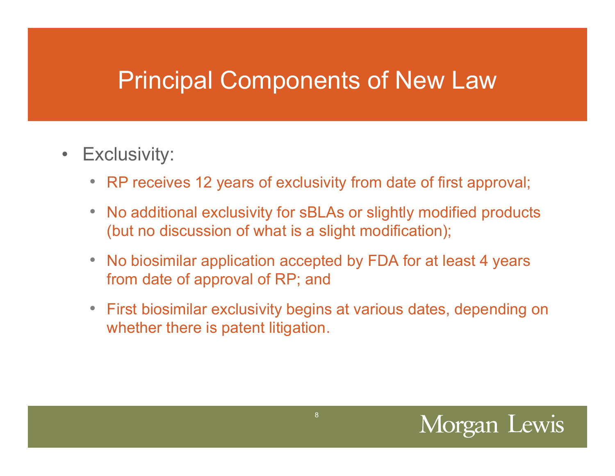- $\bullet$  Exclusivity:
	- RP receives 12 years of exclusivity from date of first approval;
	- No additional exclusivity for sBLAs or slightly modified products (but no discussion of what is a slight modification);
	- No biosimilar application accepted by FDA for at least 4 years from date of approval of RP; and
	- First biosimilar exclusivity begins at various dates, depending on whether there is patent litigation.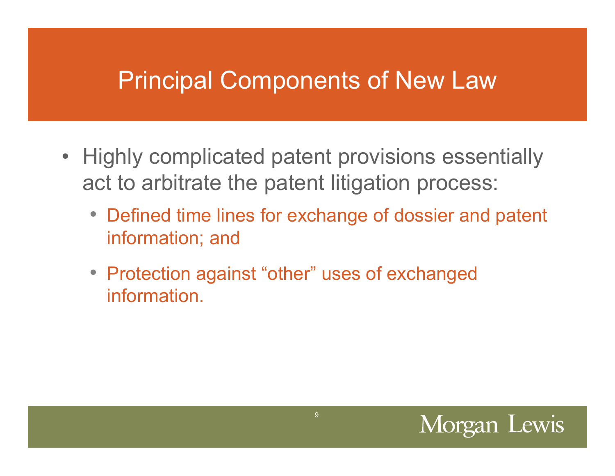- Highly complicated patent provisions essentially act to arbitrate the patent litigation process:
	- Defined time lines for exchange of dossier and patent information; and
	- Protection against "other" uses of exchanged information.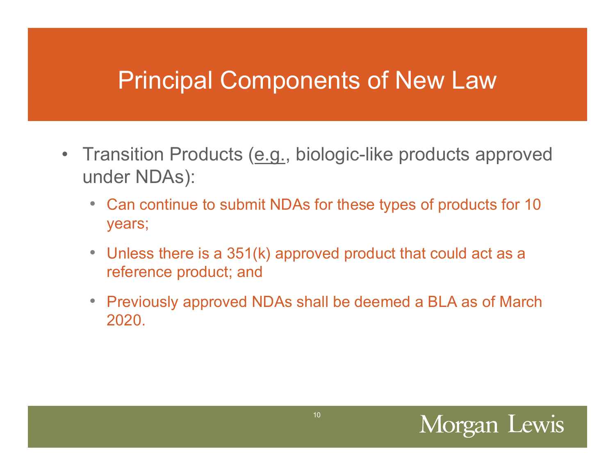- Transition Products (e.g., biologic-like products approved under NDAs):
	- Can continue to submit NDAs for these types of products for 10 years;
	- Unless there is a 351(k) approved product that could act as a reference product; and
	- Previously approved NDAs shall be deemed a BLA as of March 2020.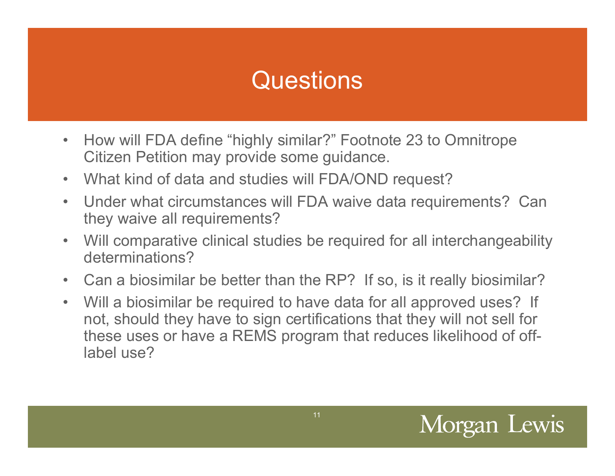# Questions

- $\bullet$  How will FDA define "highly similar?" Footnote 23 to Omnitrope Citizen Petition may provide some guidance.
- $\bullet$ What kind of data and studies will FDA/OND request?
- $\bullet$  Under what circumstances will FDA waive data requirements? Can they waive all requirements?
- $\bullet$  Will comparative clinical studies be required for all interchangeability determinations?
- $\bullet$ Can a biosimilar be better than the RP? If so, is it really biosimilar?
- Will a biosimilar be required to have data for all approved uses? If not, should they have to sign certifications that they will not sell for these uses or have a REMS program that reduces likelihood of offlabel use?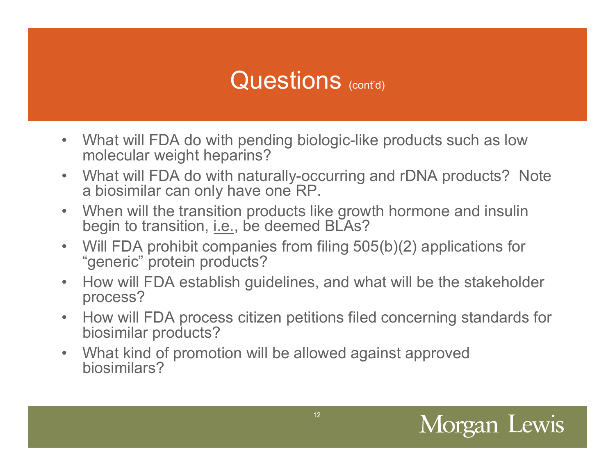### Questions (cont'd)

- $\bullet$  What will FDA do with pending biologic-like products such as low molecular weight heparins?
- $\bullet$  What will FDA do with naturally-occurring and rDNA products? Note a biosimilar can only have one RP.
- $\bullet$  When will the transition products like growth hormone and insulin begin to transition, i.e., be deemed BLAs?
- $\bullet$  Will FDA prohibit companies from filing 505(b)(2) applications for "generic" protein products?
- $\bullet$  How will FDA establish guidelines, and what will be the stakeholder process?
- • How will FDA process citizen petitions filed concerning standards for biosimilar products?
- $\bullet$  What kind of promotion will be allowed against approved biosimilars?